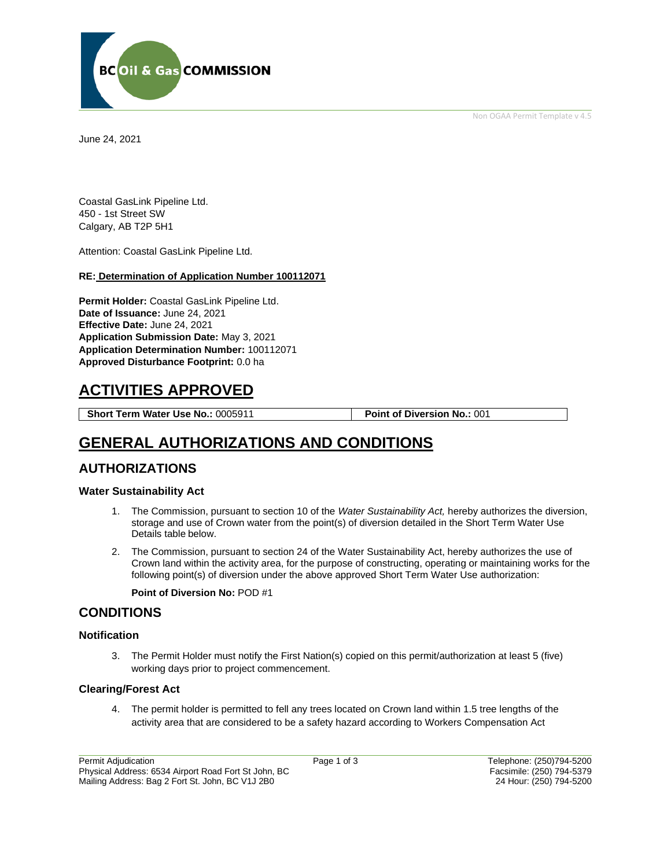

Non OGAA Permit Template v 4.5

June 24, 2021

Coastal GasLink Pipeline Ltd. 450 - 1st Street SW Calgary, AB T2P 5H1

Attention: Coastal GasLink Pipeline Ltd.

#### **RE: Determination of Application Number 100112071**

**Permit Holder:** Coastal GasLink Pipeline Ltd. **Date of Issuance:** June 24, 2021 **Effective Date:** June 24, 2021 **Application Submission Date:** May 3, 2021 **Application Determination Number:** 100112071 **Approved Disturbance Footprint:** 0.0 ha

# **ACTIVITIES APPROVED**

**Short Term Water Use No.:** 0005911 **Point of Diversion No.:** 001

# **GENERAL AUTHORIZATIONS AND CONDITIONS**

## **AUTHORIZATIONS**

#### **Water Sustainability Act**

- 1. The Commission, pursuant to section 10 of the *Water Sustainability Act,* hereby authorizes the diversion, storage and use of Crown water from the point(s) of diversion detailed in the Short Term Water Use Details table below.
- 2. The Commission, pursuant to section 24 of the Water Sustainability Act, hereby authorizes the use of Crown land within the activity area, for the purpose of constructing, operating or maintaining works for the following point(s) of diversion under the above approved Short Term Water Use authorization:

#### **Point of Diversion No:** POD #1

## **CONDITIONS**

#### **Notification**

3. The Permit Holder must notify the First Nation(s) copied on this permit/authorization at least 5 (five) working days prior to project commencement.

### **Clearing/Forest Act**

4. The permit holder is permitted to fell any trees located on Crown land within 1.5 tree lengths of the activity area that are considered to be a safety hazard according to Workers Compensation Act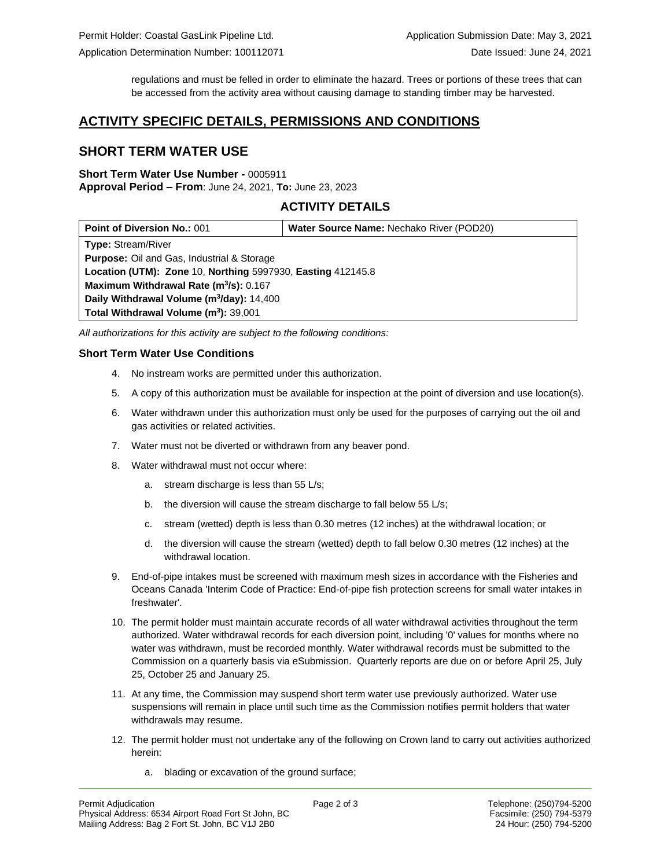regulations and must be felled in order to eliminate the hazard. Trees or portions of these trees that can be accessed from the activity area without causing damage to standing timber may be harvested.

# **ACTIVITY SPECIFIC DETAILS, PERMISSIONS AND CONDITIONS**

# **SHORT TERM WATER USE**

#### **Short Term Water Use Number -** 0005911 **Approval Period – From**: June 24, 2021, **To:** June 23, 2023

## **ACTIVITY DETAILS**

| <b>Point of Diversion No.: 001</b>                          | Water Source Name: Nechako River (POD20) |
|-------------------------------------------------------------|------------------------------------------|
| <b>Type: Stream/River</b>                                   |                                          |
| <b>Purpose:</b> Oil and Gas, Industrial & Storage           |                                          |
| Location (UTM): Zone 10, Northing 5997930, Easting 412145.8 |                                          |
| Maximum Withdrawal Rate (m <sup>3</sup> /s): 0.167          |                                          |
| Daily Withdrawal Volume (m <sup>3</sup> /day): 14,400       |                                          |
| Total Withdrawal Volume (m <sup>3</sup> ): 39,001           |                                          |

*All authorizations for this activity are subject to the following conditions:*

## **Short Term Water Use Conditions**

- 4. No instream works are permitted under this authorization.
- 5. A copy of this authorization must be available for inspection at the point of diversion and use location(s).
- 6. Water withdrawn under this authorization must only be used for the purposes of carrying out the oil and gas activities or related activities.
- 7. Water must not be diverted or withdrawn from any beaver pond.
- 8. Water withdrawal must not occur where:
	- a. stream discharge is less than 55 L/s;
	- b. the diversion will cause the stream discharge to fall below 55 L/s;
	- c. stream (wetted) depth is less than 0.30 metres (12 inches) at the withdrawal location; or
	- d. the diversion will cause the stream (wetted) depth to fall below 0.30 metres (12 inches) at the withdrawal location.
- 9. End-of-pipe intakes must be screened with maximum mesh sizes in accordance with the Fisheries and Oceans Canada 'Interim Code of Practice: End-of-pipe fish protection screens for small water intakes in freshwater'.
- 10. The permit holder must maintain accurate records of all water withdrawal activities throughout the term authorized. Water withdrawal records for each diversion point, including '0' values for months where no water was withdrawn, must be recorded monthly. Water withdrawal records must be submitted to the Commission on a quarterly basis via eSubmission. Quarterly reports are due on or before April 25, July 25, October 25 and January 25.
- 11. At any time, the Commission may suspend short term water use previously authorized. Water use suspensions will remain in place until such time as the Commission notifies permit holders that water withdrawals may resume.
- 12. The permit holder must not undertake any of the following on Crown land to carry out activities authorized herein:
	- a. blading or excavation of the ground surface;